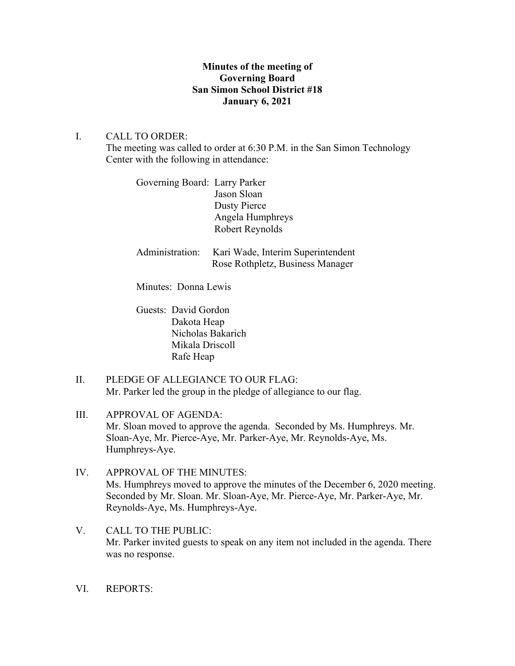# **Minutes of the meeting of Governing Board San Simon School District #18 January 6, 2021**

## I. CALL TO ORDER:

The meeting was called to order at 6:30 P.M. in the San Simon Technology Center with the following in attendance:

Governing Board: Larry Parker Jason Sloan Dusty Pierce Angela Humphreys Robert Reynolds

Administration: Kari Wade, Interim Superintendent Rose Rothpletz, Business Manager

Minutes: Donna Lewis

Guests: David Gordon Dakota Heap Nicholas Bakarich Mikala Driscoll Rafe Heap

II. PLEDGE OF ALLEGIANCE TO OUR FLAG: Mr. Parker led the group in the pledge of allegiance to our flag.

III. APPROVAL OF AGENDA: Mr. Sloan moved to approve the agenda. Seconded by Ms. Humphreys. Mr. Sloan-Aye, Mr. Pierce-Aye, Mr. Parker-Aye, Mr. Reynolds-Aye, Ms. Humphreys-Aye.

- IV. APPROVAL OF THE MINUTES: Ms. Humphreys moved to approve the minutes of the December 6, 2020 meeting. Seconded by Mr. Sloan. Mr. Sloan-Aye, Mr. Pierce-Aye, Mr. Parker-Aye, Mr. Reynolds-Aye, Ms. Humphreys-Aye.
- V. CALL TO THE PUBLIC: Mr. Parker invited guests to speak on any item not included in the agenda. There was no response.
- VI. REPORTS: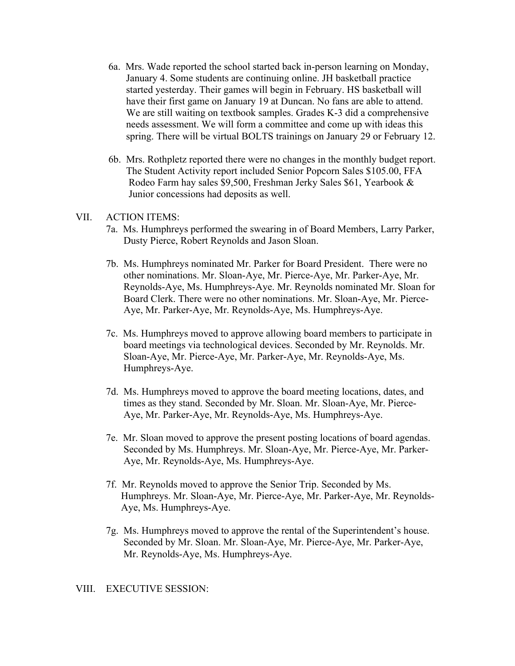- 6a. Mrs. Wade reported the school started back in-person learning on Monday, January 4. Some students are continuing online. JH basketball practice started yesterday. Their games will begin in February. HS basketball will have their first game on January 19 at Duncan. No fans are able to attend. We are still waiting on textbook samples. Grades K-3 did a comprehensive needs assessment. We will form a committee and come up with ideas this spring. There will be virtual BOLTS trainings on January 29 or February 12.
- 6b. Mrs. Rothpletz reported there were no changes in the monthly budget report. The Student Activity report included Senior Popcorn Sales \$105.00, FFA Rodeo Farm hay sales \$9,500, Freshman Jerky Sales \$61, Yearbook & Junior concessions had deposits as well.

### VII. ACTION ITEMS:

- 7a. Ms. Humphreys performed the swearing in of Board Members, Larry Parker, Dusty Pierce, Robert Reynolds and Jason Sloan.
- 7b. Ms. Humphreys nominated Mr. Parker for Board President. There were no other nominations. Mr. Sloan-Aye, Mr. Pierce-Aye, Mr. Parker-Aye, Mr. Reynolds-Aye, Ms. Humphreys-Aye. Mr. Reynolds nominated Mr. Sloan for Board Clerk. There were no other nominations. Mr. Sloan-Aye, Mr. Pierce- Aye, Mr. Parker-Aye, Mr. Reynolds-Aye, Ms. Humphreys-Aye.
- 7c. Ms. Humphreys moved to approve allowing board members to participate in board meetings via technological devices. Seconded by Mr. Reynolds. Mr. Sloan-Aye, Mr. Pierce-Aye, Mr. Parker-Aye, Mr. Reynolds-Aye, Ms. Humphreys-Aye.
- 7d. Ms. Humphreys moved to approve the board meeting locations, dates, and times as they stand. Seconded by Mr. Sloan. Mr. Sloan-Aye, Mr. Pierce- Aye, Mr. Parker-Aye, Mr. Reynolds-Aye, Ms. Humphreys-Aye.
- 7e. Mr. Sloan moved to approve the present posting locations of board agendas. Seconded by Ms. Humphreys. Mr. Sloan-Aye, Mr. Pierce-Aye, Mr. Parker- Aye, Mr. Reynolds-Aye, Ms. Humphreys-Aye.
- 7f. Mr. Reynolds moved to approve the Senior Trip. Seconded by Ms. Humphreys. Mr. Sloan-Aye, Mr. Pierce-Aye, Mr. Parker-Aye, Mr. Reynolds- Aye, Ms. Humphreys-Aye.
- 7g. Ms. Humphreys moved to approve the rental of the Superintendent's house. Seconded by Mr. Sloan. Mr. Sloan-Aye, Mr. Pierce-Aye, Mr. Parker-Aye, Mr. Reynolds-Aye, Ms. Humphreys-Aye.

#### VIII. EXECUTIVE SESSION: